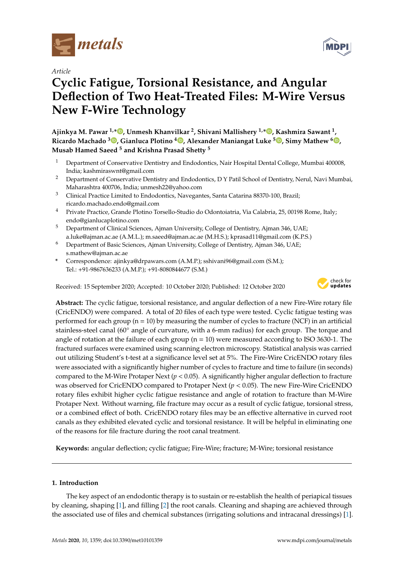

*Article*

# **Cyclic Fatigue, Torsional Resistance, and Angular Deflection of Two Heat-Treated Files: M-Wire Versus New F-Wire Technology**

**Ajinkya M. Pawar 1,\* , Unmesh Khanvilkar <sup>2</sup> , Shivani Mallishery 1,\* , Kashmira Sawant <sup>1</sup> , Ricardo Machado <sup>3</sup> , Gianluca Plotino <sup>4</sup> , Alexander Maniangat Luke <sup>5</sup> , Simy Mathew <sup>6</sup> , Musab Hamed Saeed <sup>5</sup> and Krishna Prasad Shetty <sup>5</sup>**

- <sup>1</sup> Department of Conservative Dentistry and Endodontics, Nair Hospital Dental College, Mumbai 400008, India; kashmiraswnt@gmail.com
- <sup>2</sup> Department of Conservative Dentistry and Endodontics, D Y Patil School of Dentistry, Nerul, Navi Mumbai, Maharashtra 400706, India; unmesh22@yahoo.com
- <sup>3</sup> Clinical Practice Limited to Endodontics, Navegantes, Santa Catarina 88370-100, Brazil; ricardo.machado.endo@gmail.com
- <sup>4</sup> Private Practice, Grande Plotino Torsello-Studio do Odontoiatria, Via Calabria, 25, 00198 Rome, Italy; endo@gianlucaplotino.com
- <sup>5</sup> Department of Clinical Sciences, Ajman University, College of Dentistry, Ajman 346, UAE; a.luke@ajman.ac.ae (A.M.L.); m.saeed@ajman.ac.ae (M.H.S.); kprasad11@gmail.com (K.P.S.)
- <sup>6</sup> Department of Basic Sciences, Ajman University, College of Dentistry, Ajman 346, UAE; s.mathew@ajman.ac.ae
- **\*** Correspondence: ajinkya@drpawars.com (A.M.P.); sshivani96@gmail.com (S.M.); Tel.: +91-9867636233 (A.M.P.); +91-8080844677 (S.M.)

Received: 15 September 2020; Accepted: 10 October 2020; Published: 12 October 2020



**Abstract:** The cyclic fatigue, torsional resistance, and angular deflection of a new Fire-Wire rotary file (CricENDO) were compared. A total of 20 files of each type were tested. Cyclic fatigue testing was performed for each group  $(n = 10)$  by measuring the number of cycles to fracture (NCF) in an artificial stainless-steel canal (60◦ angle of curvature, with a 6-mm radius) for each group. The torque and angle of rotation at the failure of each group  $(n = 10)$  were measured according to ISO 3630-1. The fractured surfaces were examined using scanning electron microscopy. Statistical analysis was carried out utilizing Student's t-test at a significance level set at 5%. The Fire-Wire CricENDO rotary files were associated with a significantly higher number of cycles to fracture and time to failure (in seconds) compared to the M-Wire Protaper Next  $(p < 0.05)$ . A significantly higher angular deflection to fracture was observed for CricENDO compared to Protaper Next (*p* < 0.05). The new Fire-Wire CricENDO rotary files exhibit higher cyclic fatigue resistance and angle of rotation to fracture than M-Wire Protaper Next. Without warning, file fracture may occur as a result of cyclic fatigue, torsional stress, or a combined effect of both. CricENDO rotary files may be an effective alternative in curved root canals as they exhibited elevated cyclic and torsional resistance. It will be helpful in eliminating one of the reasons for file fracture during the root canal treatment.

**Keywords:** angular deflection; cyclic fatigue; Fire-Wire; fracture; M-Wire; torsional resistance

## **1. Introduction**

The key aspect of an endodontic therapy is to sustain or re-establish the health of periapical tissues by cleaning, shaping [1], and filling [2] the root canals. Cleaning and shaping are achieved through the associated use of files and chemical substances (irrigating solutions and intracanal dressings) [1].

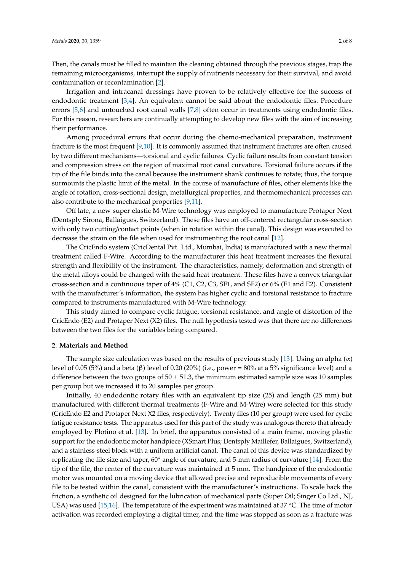Then, the canals must be filled to maintain the cleaning obtained through the previous stages, trap the remaining microorganisms, interrupt the supply of nutrients necessary for their survival, and avoid contamination or recontamination [2].

Irrigation and intracanal dressings have proven to be relatively effective for the success of endodontic treatment [3,4]. An equivalent cannot be said about the endodontic files. Procedure errors [5,6] and untouched root canal walls [7,8] often occur in treatments using endodontic files. For this reason, researchers are continually attempting to develop new files with the aim of increasing their performance.

Among procedural errors that occur during the chemo-mechanical preparation, instrument fracture is the most frequent [9,10]. It is commonly assumed that instrument fractures are often caused by two different mechanisms—torsional and cyclic failures. Cyclic failure results from constant tension and compression stress on the region of maximal root canal curvature. Torsional failure occurs if the tip of the file binds into the canal because the instrument shank continues to rotate; thus, the torque surmounts the plastic limit of the metal. In the course of manufacture of files, other elements like the angle of rotation, cross-sectional design, metallurgical properties, and thermomechanical processes can also contribute to the mechanical properties [9,11].

Off late, a new super elastic M-Wire technology was employed to manufacture Protaper Next (Dentsply Sirona, Ballaigues, Switzerland). These files have an off-centered rectangular cross-section with only two cutting/contact points (when in rotation within the canal). This design was executed to decrease the strain on the file when used for instrumenting the root canal [12].

The CricEndo system (CricDental Pvt. Ltd., Mumbai, India) is manufactured with a new thermal treatment called F-Wire. According to the manufacturer this heat treatment increases the flexural strength and flexibility of the instrument. The characteristics, namely, deformation and strength of the metal alloys could be changed with the said heat treatment. These files have a convex triangular cross-section and a continuous taper of 4% (C1, C2, C3, SF1, and SF2) or 6% (E1 and E2). Consistent with the manufacturer's information, the system has higher cyclic and torsional resistance to fracture compared to instruments manufactured with M-Wire technology.

This study aimed to compare cyclic fatigue, torsional resistance, and angle of distortion of the CricEndo (E2) and Protaper Next (X2) files. The null hypothesis tested was that there are no differences between the two files for the variables being compared.

#### **2. Materials and Method**

The sample size calculation was based on the results of previous study [13]. Using an alpha  $(\alpha)$ level of 0.05 (5%) and a beta (β) level of 0.20 (20%) (i.e., power = 80% at a 5% significance level) and a difference between the two groups of  $50 \pm 51.3$ , the minimum estimated sample size was 10 samples per group but we increased it to 20 samples per group.

Initially, 40 endodontic rotary files with an equivalent tip size (25) and length (25 mm) but manufactured with different thermal treatments (F-Wire and M-Wire) were selected for this study (CricEndo E2 and Protaper Next X2 files, respectively). Twenty files (10 per group) were used for cyclic fatigue resistance tests. The apparatus used for this part of the study was analogous thereto that already employed by Plotino et al. [13]. In brief, the apparatus consisted of a main frame, moving plastic support for the endodontic motor handpiece (XSmart Plus; Dentsply Maillefer, Ballaigues, Switzerland), and a stainless-steel block with a uniform artificial canal. The canal of this device was standardized by replicating the file size and taper, 60◦ angle of curvature, and 5-mm radius of curvature [14]. From the tip of the file, the center of the curvature was maintained at 5 mm. The handpiece of the endodontic motor was mounted on a moving device that allowed precise and reproducible movements of every file to be tested within the canal, consistent with the manufacturer's instructions. To scale back the friction, a synthetic oil designed for the lubrication of mechanical parts (Super Oil; Singer Co Ltd., NJ, USA) was used  $[15,16]$ . The temperature of the experiment was maintained at 37 °C. The time of motor activation was recorded employing a digital timer, and the time was stopped as soon as a fracture was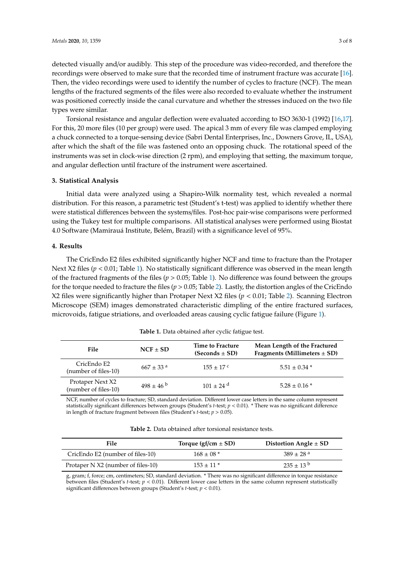detected visually and/or audibly. This step of the procedure was video-recorded, and therefore the recordings were observed to make sure that the recorded time of instrument fracture was accurate [16]. Then, the video recordings were used to identify the number of cycles to fracture (NCF). The mean lengths of the fractured segments of the files were also recorded to evaluate whether the instrument was positioned correctly inside the canal curvature and whether the stresses induced on the two file types were similar.

Torsional resistance and angular deflection were evaluated according to ISO 3630-1 (1992) [16,17]. For this, 20 more files (10 per group) were used. The apical 3 mm of every file was clamped employing a chuck connected to a torque-sensing device (Sabri Dental Enterprises, Inc., Downers Grove, IL, USA), after which the shaft of the file was fastened onto an opposing chuck. The rotational speed of the instruments was set in clock-wise direction (2 rpm), and employing that setting, the maximum torque, and angular deflection until fracture of the instrument were ascertained.

#### **3. Statistical Analysis**

Initial data were analyzed using a Shapiro-Wilk normality test, which revealed a normal distribution. For this reason, a parametric test (Student's t-test) was applied to identify whether there were statistical differences between the systems/files. Post-hoc pair-wise comparisons were performed using the Tukey test for multiple comparisons. All statistical analyses were performed using Biostat 4.0 Software (Mamirauá Institute, Belém, Brazil) with a significance level of 95%.

#### **4. Results**

The CricEndo E2 files exhibited significantly higher NCF and time to fracture than the Protaper Next X2 files ( $p < 0.01$ ; Table 1). No statistically significant difference was observed in the mean length of the fractured fragments of the files ( $p > 0.05$ ; Table 1). No difference was found between the groups for the torque needed to fracture the files (*p* > 0.05; Table 2). Lastly, the distortion angles of the CricEndo X2 files were significantly higher than Protaper Next X2 files (*p* < 0.01; Table 2). Scanning Electron Microscope (SEM) images demonstrated characteristic dimpling of the entire fractured surfaces, microvoids, fatigue striations, and overloaded areas causing cyclic fatigue failure (Figure 1).

| File                                     | $NCF \pm SD$              | Time to Fracture<br>$(Seconds \pm SD)$ | Mean Length of the Fractured<br>Fragments (Millimeters $\pm$ SD) |
|------------------------------------------|---------------------------|----------------------------------------|------------------------------------------------------------------|
| CricEndo E2<br>(number of files-10)      | $667 \pm 33$ <sup>a</sup> | $155 + 17^{\circ}$                     | $5.51 \pm 0.34$ *                                                |
| Protaper Next X2<br>(number of files-10) | $498 \pm 46^{b}$          | $101 + 24$ <sup>d</sup>                | $5.28 \pm 0.16*$                                                 |

**Table 1.** Data obtained after cyclic fatigue test.

NCF, number of cycles to fracture; SD, standard deviation. Different lower case letters in the same column represent statistically significant differences between groups (Student's *t*-test; *p* < 0.01). \* There was no significant difference in length of fracture fragment between files (Student's *t*-test; *p* > 0.05).

| <b>Table 2.</b> Data obtained after torsional resistance tests. |  |
|-----------------------------------------------------------------|--|
|                                                                 |  |
|                                                                 |  |
|                                                                 |  |
|                                                                 |  |

| File                               | Torque (gf/cm $\pm$ SD) | Distortion Angle $\pm$ SD |
|------------------------------------|-------------------------|---------------------------|
| CricEndo E2 (number of files-10)   | $168 \pm 08$ *          | $389 + 28$ <sup>a</sup>   |
| Protaper N X2 (number of files-10) | $153 \pm 11$ *          | $235 \pm 13^{b}$          |

g, gram; f, force; cm, centimeters; SD, standard deviation. \* There was no significant difference in torque resistance between files (Student's *t*-test; *p* < 0.01). Different lower case letters in the same column represent statistically significant differences between groups (Student's *t*-test; *p* < 0.01).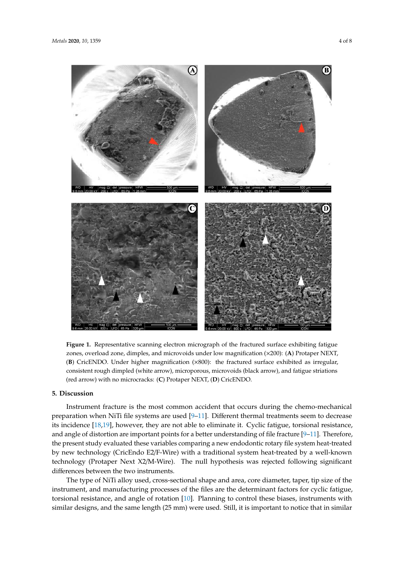

**Figure 1.** Representative scanning electron micrograph of the fractured surface exhibiting fatigue zones, overload zone, dimples, and microvoids under low magnification (×200): (**A**) Protaper NEXT, (**B**) CricENDO. Under higher magnification (×800): the fractured surface exhibited as irregular, consistent rough dimpled (white arrow), microporous, microvoids (black arrow), and fatigue striations (red arrow) with no microcracks: (**C**) Protaper NEXT, (**D**) CricENDO.

### **5. Discussion**

Instrument fracture is the most common accident that occurs during the chemo-mechanical preparation when NiTi file systems are used [9–11]. Different thermal treatments seem to decrease its incidence [18,19], however, they are not able to eliminate it. Cyclic fatigue, torsional resistance, and angle of distortion are important points for a better understanding of file fracture [9–11]. Therefore, the present study evaluated these variables comparing a new endodontic rotary file system heat-treated by new technology (CricEndo E2/F-Wire) with a traditional system heat-treated by a well-known technology (Protaper Next X2/M-Wire). The null hypothesis was rejected following significant differences between the two instruments.

The type of NiTi alloy used, cross-sectional shape and area, core diameter, taper, tip size of the instrument, and manufacturing processes of the files are the determinant factors for cyclic fatigue, torsional resistance, and angle of rotation [10]. Planning to control these biases, instruments with similar designs, and the same length (25 mm) were used. Still, it is important to notice that in similar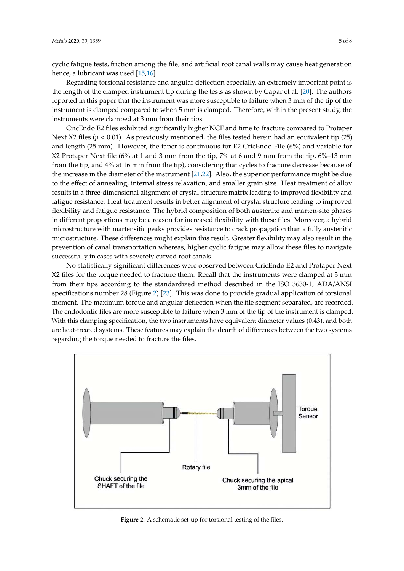cyclic fatigue tests, friction among the file, and artificial root canal walls may cause heat generation hence, a lubricant was used [15,16].

Regarding torsional resistance and angular deflection especially, an extremely important point is the length of the clamped instrument tip during the tests as shown by Capar et al. [20]. The authors reported in this paper that the instrument was more susceptible to failure when 3 mm of the tip of the instrument is clamped compared to when 5 mm is clamped. Therefore, within the present study, the instruments were clamped at 3 mm from their tips.

CricEndo E2 files exhibited significantly higher NCF and time to fracture compared to Protaper Next X2 files ( $p < 0.01$ ). As previously mentioned, the files tested herein had an equivalent tip (25) and length (25 mm). However, the taper is continuous for E2 CricEndo File (6%) and variable for X2 Protaper Next file (6% at 1 and 3 mm from the tip, 7% at 6 and 9 mm from the tip, 6%–13 mm from the tip, and 4% at 16 mm from the tip), considering that cycles to fracture decrease because of the increase in the diameter of the instrument [21,22]. Also, the superior performance might be due to the effect of annealing, internal stress relaxation, and smaller grain size. Heat treatment of alloy results in a three-dimensional alignment of crystal structure matrix leading to improved flexibility and fatigue resistance. Heat treatment results in better alignment of crystal structure leading to improved flexibility and fatigue resistance. The hybrid composition of both austenite and marten-site phases in different proportions may be a reason for increased flexibility with these files. Moreover, a hybrid microstructure with martensitic peaks provides resistance to crack propagation than a fully austenitic microstructure. These differences might explain this result. Greater flexibility may also result in the prevention of canal transportation whereas, higher cyclic fatigue may allow these files to navigate successfully in cases with severely curved root canals.

No statistically significant differences were observed between CricEndo E2 and Protaper Next X2 files for the torque needed to fracture them. Recall that the instruments were clamped at 3 mm from their tips according to the standardized method described in the ISO 3630-1, ADA/ANSI specifications number 28 (Figure 2) [23]. This was done to provide gradual application of torsional moment. The maximum torque and angular deflection when the file segment separated, are recorded. The endodontic files are more susceptible to failure when 3 mm of the tip of the instrument is clamped. With this clamping specification, the two instruments have equivalent diameter values (0.43), and both are heat-treated systems. These features may explain the dearth of differences between the two systems regarding the torque needed to fracture the files.



**Figure 2.** A schematic set-up for torsional testing of the files.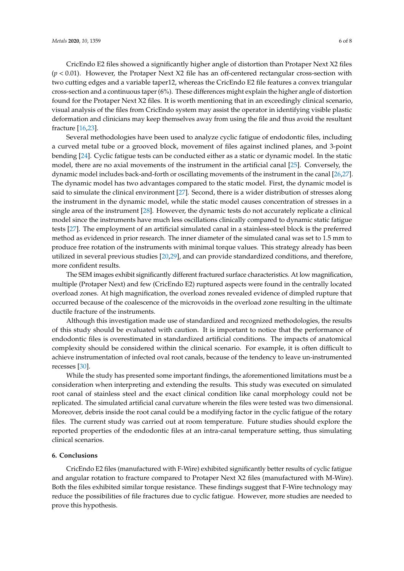CricEndo E2 files showed a significantly higher angle of distortion than Protaper Next X2 files (*p* < 0.01). However, the Protaper Next X2 file has an off-centered rectangular cross-section with two cutting edges and a variable taper12, whereas the CricEndo E2 file features a convex triangular cross-section and a continuous taper (6%). These differences might explain the higher angle of distortion found for the Protaper Next X2 files. It is worth mentioning that in an exceedingly clinical scenario, visual analysis of the files from CricEndo system may assist the operator in identifying visible plastic deformation and clinicians may keep themselves away from using the file and thus avoid the resultant fracture [16,23].

Several methodologies have been used to analyze cyclic fatigue of endodontic files, including a curved metal tube or a grooved block, movement of files against inclined planes, and 3-point bending [24]. Cyclic fatigue tests can be conducted either as a static or dynamic model. In the static model, there are no axial movements of the instrument in the artificial canal [25]. Conversely, the dynamic model includes back-and-forth or oscillating movements of the instrument in the canal [26,27]. The dynamic model has two advantages compared to the static model. First, the dynamic model is said to simulate the clinical environment [27]. Second, there is a wider distribution of stresses along the instrument in the dynamic model, while the static model causes concentration of stresses in a single area of the instrument [28]. However, the dynamic tests do not accurately replicate a clinical model since the instruments have much less oscillations clinically compared to dynamic static fatigue tests [27]. The employment of an artificial simulated canal in a stainless-steel block is the preferred method as evidenced in prior research. The inner diameter of the simulated canal was set to 1.5 mm to produce free rotation of the instruments with minimal torque values. This strategy already has been utilized in several previous studies [20,29], and can provide standardized conditions, and therefore, more confident results.

The SEM images exhibit significantly different fractured surface characteristics. At low magnification, multiple (Protaper Next) and few (CricEndo E2) ruptured aspects were found in the centrally located overload zones. At high magnification, the overload zones revealed evidence of dimpled rupture that occurred because of the coalescence of the microvoids in the overload zone resulting in the ultimate ductile fracture of the instruments.

Although this investigation made use of standardized and recognized methodologies, the results of this study should be evaluated with caution. It is important to notice that the performance of endodontic files is overestimated in standardized artificial conditions. The impacts of anatomical complexity should be considered within the clinical scenario. For example, it is often difficult to achieve instrumentation of infected oval root canals, because of the tendency to leave un-instrumented recesses [30].

While the study has presented some important findings, the aforementioned limitations must be a consideration when interpreting and extending the results. This study was executed on simulated root canal of stainless steel and the exact clinical condition like canal morphology could not be replicated. The simulated artificial canal curvature wherein the files were tested was two dimensional. Moreover, debris inside the root canal could be a modifying factor in the cyclic fatigue of the rotary files. The current study was carried out at room temperature. Future studies should explore the reported properties of the endodontic files at an intra-canal temperature setting, thus simulating clinical scenarios.

#### **6. Conclusions**

CricEndo E2 files (manufactured with F-Wire) exhibited significantly better results of cyclic fatigue and angular rotation to fracture compared to Protaper Next X2 files (manufactured with M-Wire). Both the files exhibited similar torque resistance. These findings suggest that F-Wire technology may reduce the possibilities of file fractures due to cyclic fatigue. However, more studies are needed to prove this hypothesis.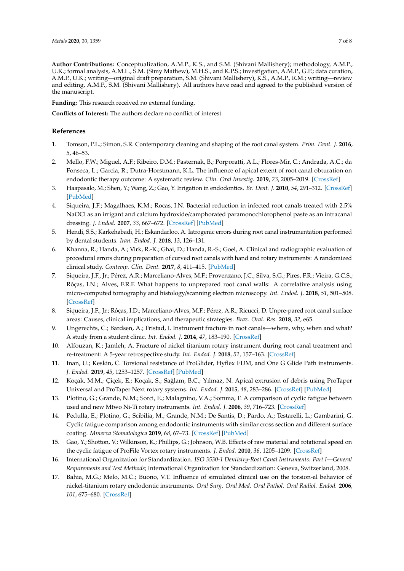**Author Contributions:** Conceptualization, A.M.P., K.S., and S.M. (Shivani Mallishery); methodology, A.M.P., U.K.; formal analysis, A.M.L., S.M. (Simy Mathew), M.H.S., and K.P.S.; investigation, A.M.P., G.P.; data curation, A.M.P., U.K.; writing—original draft preparation, S.M. (Shivani Mallishery), K.S., A.M.P., R.M.; writing—review and editing, A.M.P., S.M. (Shivani Mallishery). All authors have read and agreed to the published version of the manuscript.

**Funding:** This research received no external funding.

**Conflicts of Interest:** The authors declare no conflict of interest.

#### **References**

- 1. Tomson, P.L.; Simon, S.R. Contemporary cleaning and shaping of the root canal system. *Prim. Dent. J.* **2016**, *5*, 46–53.
- 2. Mello, F.W.; Miguel, A.F.; Ribeiro, D.M.; Pasternak, B.; Porporatti, A.L.; Flores-Mir, C.; Andrada, A.C.; da Fonseca, L.; Garcia, R.; Dutra-Horstmann, K.L. The influence of apical extent of root canal obturation on endodontic therapy outcome: A systematic review. *Clin. Oral Investig.* **2019**, *23*, 2005–2019. [CrossRef]
- 3. Haapasalo, M.; Shen, Y.; Wang, Z.; Gao, Y. Irrigation in endodontics. *Br. Dent. J.* **2010**, *54*, 291–312. [CrossRef] [PubMed]
- 4. Siqueira, J.F.; Magalhaes, K.M.; Rocas, I.N. Bacterial reduction in infected root canals treated with 2.5% NaOCl as an irrigant and calcium hydroxide/camphorated paramonochlorophenol paste as an intracanal dressing. *J. Endod.* **2007**, *33*, 667–672. [CrossRef] [PubMed]
- 5. Hendi, S.S.; Karkehabadi, H.; Eskandarloo, A. Iatrogenic errors during root canal instrumentation performed by dental students. *Iran. Endod. J.* **2018**, *13*, 126–131.
- 6. Khanna, R.; Handa, A.; Virk, R.-K.; Ghai, D.; Handa, R.-S.; Goel, A. Clinical and radiographic evaluation of procedural errors during preparation of curved root canals with hand and rotary instruments: A randomized clinical study. *Contemp. Clin. Dent.* **2017**, *8*, 411–415. [PubMed]
- 7. Siqueira, J.F., Jr.; Pérez, A.R.; Marceliano-Alves, M.F.; Provenzano, J.C.; Silva, S.G.; Pires, F.R.; Vieira, G.C.S.; Rôças, I.N.; Alves, F.R.F. What happens to unprepared root canal walls: A correlative analysis using micro-computed tomography and histology/scanning electron microscopy. *Int. Endod. J.* **2018**, *51*, 501–508. [CrossRef]
- 8. Siqueira, J.F., Jr.; Rôças, I.D.; Marceliano-Alves, M.F.; Pérez, A.R.; Ricucci, D. Unpre-pared root canal surface areas: Causes, clinical implications, and therapeutic strategies. *Braz. Oral. Res.* **2018**, *32*, e65.
- 9. Ungerechts, C.; Bardsen, A.; Fristad, I. Instrument fracture in root canals—where, why, when and what? A study from a student clinic. *Int. Endod. J.* **2014**, *47*, 183–190. [CrossRef]
- 10. Alfouzan, K.; Jamleh, A. Fracture of nickel titanium rotary instrument during root canal treatment and re-treatment: A 5-year retrospective study. *Int. Endod. J.* **2018**, *51*, 157–163. [CrossRef]
- 11. Inan, U.; Keskin, C. Torsional resistance of ProGlider, Hyflex EDM, and One G Glide Path instruments. *J. Endod.* **2019**, *45*, 1253–1257. [CrossRef] [PubMed]
- 12. Koçak, M.M.; Çiçek, E.; Koçak, S.; Sağlam, B.C.; Yılmaz, N. Apical extrusion of debris using ProTaper Universal and ProTaper Next rotary systems. *Int. Endod. J.* **2015**, *48*, 283–286. [CrossRef] [PubMed]
- 13. Plotino, G.; Grande, N.M.; Sorci, E.; Malagnino, V.A.; Somma, F. A comparison of cyclic fatigue between used and new Mtwo Ni-Ti rotary instruments. *Int. Endod. J.* **2006**, *39*, 716–723. [CrossRef]
- 14. Pedulla, E.; Plotino, G.; Scibilia, M.; Grande, N.M.; De Santis, D.; Pardo, A.; Testarelli, L.; Gambarini, G. Cyclic fatigue comparison among endodontic instruments with similar cross section and different surface coating. *Minerva Stomatologica* **2019**, *68*, 67–73. [CrossRef] [PubMed]
- 15. Gao, Y.; Shotton, V.; Wilkinson, K.; Phillips, G.; Johnson, W.B. Effects of raw material and rotational speed on the cyclic fatigue of ProFile Vortex rotary instruments. *J. Endod.* **2010**, *36*, 1205–1209. [CrossRef]
- 16. International Organization for Standardization. *ISO 3530-1 Dentistry-Root Canal Instruments: Part I—General Requirements and Test Methods*; International Organization for Standardization: Geneva, Switzerland, 2008.
- 17. Bahia, M.G.; Melo, M.C.; Buono, V.T. Influence of simulated clinical use on the torsion-al behavior of nickel-titanium rotary endodontic instruments. *Oral Surg. Oral Med. Oral Pathol. Oral Radiol. Endod.* **2006**, *101*, 675–680. [CrossRef]